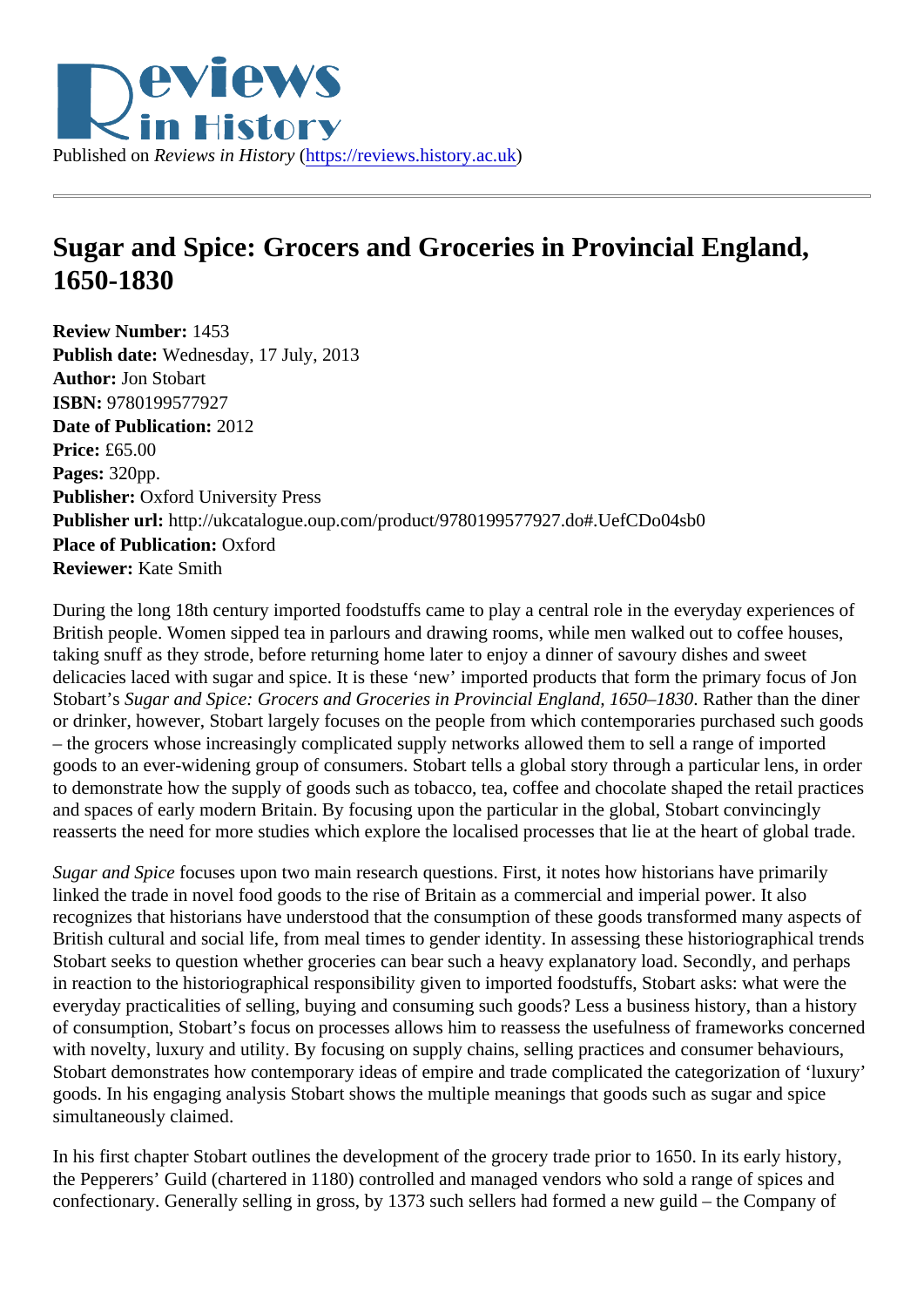## Sugar and Spice: Grocers and Groceries in Provincial England, 1650-1830

Review Number: 1453 Publish date: Wednesday, 17 July, 2013 Author: Jon Stobart ISBN: 9780199577927 Date of Publication: 2012 Price: £65.00 Pages: 320pp. Publisher: Oxford University Press Publisher url: http://ukcatalogue.oup.com/product/9780199577927.do#.UefCDo04sb0 Place of Publication: Oxford Reviewer: Kate Smith

During the long 18th century imported foodstuffs came to play a central role in the everyday experiences of British people. Women sipped tea in parlours and drawing rooms, while men walked out to coffee houses, taking snuff as they strode, before returning home later to enjoy a dinner of savoury dishes and sweet delicacies laced with sugar and spice. It is these 'new' imported products that form the primary focus of Jo Stobart's Sugar and Spice: Grocers and Groceries in Provincial England, 1650–R&B der than the diner or drinker, however, Stobart largely focuses on the people from which contemporaries purchased such go – the grocers whose increasingly complicated supply networks allowed them to sell a range of imported goods to an ever-widening group of consumers. Stobart tells a global story through a particular lens, in order to demonstrate how the supply of goods such as tobacco, tea, coffee and chocolate shaped the retail practices and spaces of early modern Britain. By focusing upon the particular in the global, Stobart convincingly reasserts the need for more studies which explore the localised processes that lie at the heart of global tra

Sugar and Spictocuses upon two main research questions. First, it notes how historians have primarily linked the trade in novel food goods to the rise of Britain as a commercial and imperial power. It also recognizes that historians have understood that the consumption of these goods transformed many aspectric of British cultural and social life, from meal times to gender identity. In assessing these historiographical tren Stobart seeks to question whether groceries can bear such a heavy explanatory load. Secondly, and perhapsion in reaction to the historiographical responsibility given to imported foodstuffs, Stobart asks: what were the everyday practicalities of selling, buying and consuming such goods? Less a business history, than a histor of consumption, Stobart's focus on processes allows him to reassess the usefulness of frameworks concerned to concerned the usefulness of frameworks concerned to concerned the usefulness of frameworks concerned to concerne with novelty, luxury and utility. By focusing on supply chains, selling practices and consumer behaviours, Stobart demonstrates how contemporary ideas of empire and trade complicated the categorization of 'luxu goods. In his engaging analysis Stobart shows the multiple meanings that goods such as sugar and spice simultaneously claimed.

In his first chapter Stobart outlines the development of the grocery trade prior to 1650. In its early history, the Pepperers' Guild (chartered in 1180) controlled and managed vendors who sold a range of spices and confectionary. Generally selling in gross, by 1373 such sellers had formed a new guild – the Company of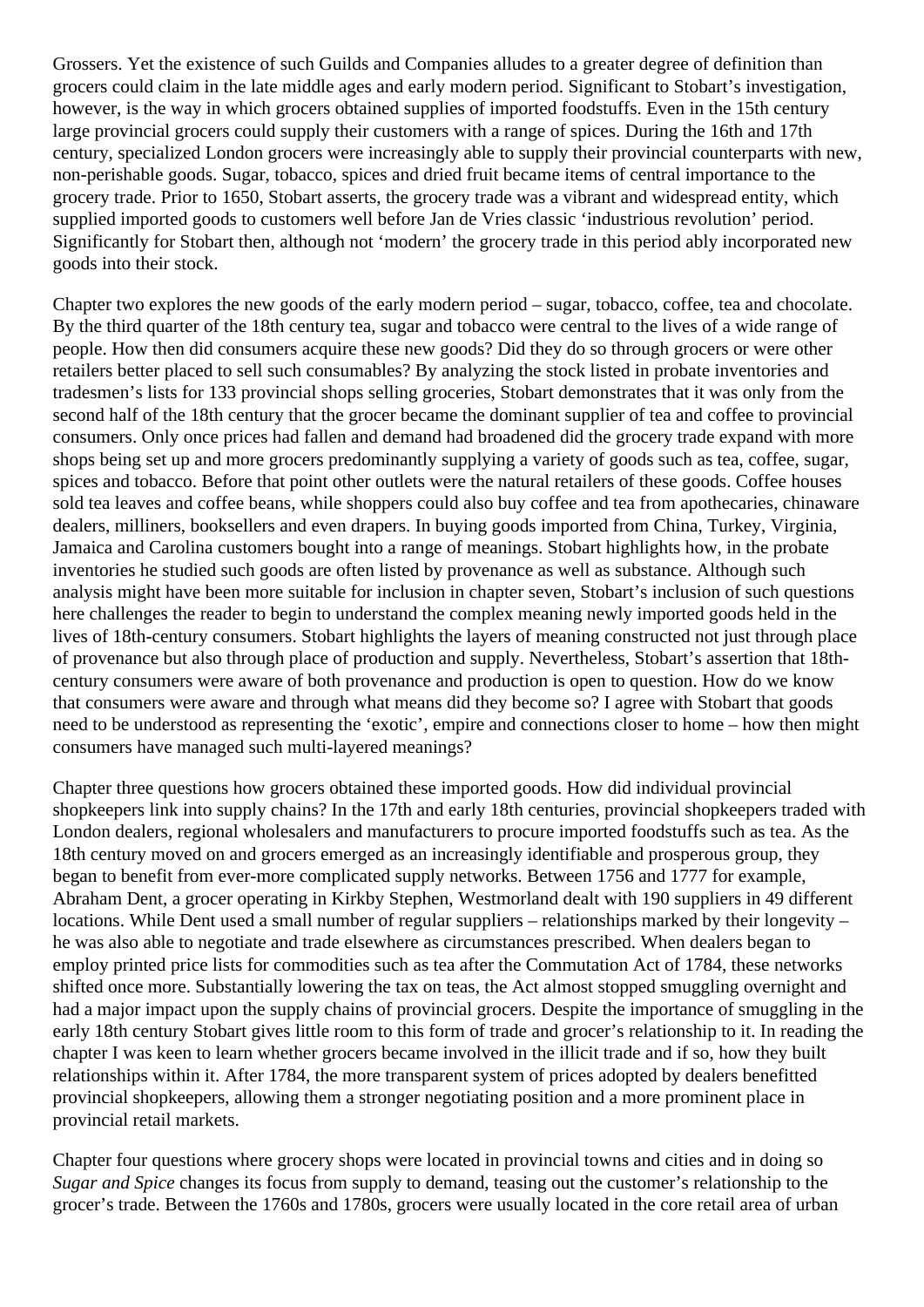Grossers. Yet the existence of such Guilds and Companies alludes to a greater degree of definition than grocers could claim in the late middle ages and early modern period. Significant to Stobart's investigation, however, is the way in which grocers obtained supplies of imported foodstuffs. Even in the 15th century large provincial grocers could supply their customers with a range of spices. During the 16th and 17th century, specialized London grocers were increasingly able to supply their provincial counterparts with new, non-perishable goods. Sugar, tobacco, spices and dried fruit became items of central importance to the grocery trade. Prior to 1650, Stobart asserts, the grocery trade was a vibrant and widespread entity, which supplied imported goods to customers well before Jan de Vries classic 'industrious revolution' period. Significantly for Stobart then, although not 'modern' the grocery trade in this period ably incorporated new goods into their stock.

Chapter two explores the new goods of the early modern period – sugar, tobacco, coffee, tea and chocolate. By the third quarter of the 18th century tea, sugar and tobacco were central to the lives of a wide range of people. How then did consumers acquire these new goods? Did they do so through grocers or were other retailers better placed to sell such consumables? By analyzing the stock listed in probate inventories and tradesmen's lists for 133 provincial shops selling groceries, Stobart demonstrates that it was only from the second half of the 18th century that the grocer became the dominant supplier of tea and coffee to provincial consumers. Only once prices had fallen and demand had broadened did the grocery trade expand with more shops being set up and more grocers predominantly supplying a variety of goods such as tea, coffee, sugar, spices and tobacco. Before that point other outlets were the natural retailers of these goods. Coffee houses sold tea leaves and coffee beans, while shoppers could also buy coffee and tea from apothecaries, chinaware dealers, milliners, booksellers and even drapers. In buying goods imported from China, Turkey, Virginia, Jamaica and Carolina customers bought into a range of meanings. Stobart highlights how, in the probate inventories he studied such goods are often listed by provenance as well as substance. Although such analysis might have been more suitable for inclusion in chapter seven, Stobart's inclusion of such questions here challenges the reader to begin to understand the complex meaning newly imported goods held in the lives of 18th-century consumers. Stobart highlights the layers of meaning constructed not just through place of provenance but also through place of production and supply. Nevertheless, Stobart's assertion that 18thcentury consumers were aware of both provenance and production is open to question. How do we know that consumers were aware and through what means did they become so? I agree with Stobart that goods need to be understood as representing the 'exotic', empire and connections closer to home – how then might consumers have managed such multi-layered meanings?

Chapter three questions how grocers obtained these imported goods. How did individual provincial shopkeepers link into supply chains? In the 17th and early 18th centuries, provincial shopkeepers traded with London dealers, regional wholesalers and manufacturers to procure imported foodstuffs such as tea. As the 18th century moved on and grocers emerged as an increasingly identifiable and prosperous group, they began to benefit from ever-more complicated supply networks. Between 1756 and 1777 for example, Abraham Dent, a grocer operating in Kirkby Stephen, Westmorland dealt with 190 suppliers in 49 different locations. While Dent used a small number of regular suppliers – relationships marked by their longevity – he was also able to negotiate and trade elsewhere as circumstances prescribed. When dealers began to employ printed price lists for commodities such as tea after the Commutation Act of 1784, these networks shifted once more. Substantially lowering the tax on teas, the Act almost stopped smuggling overnight and had a major impact upon the supply chains of provincial grocers. Despite the importance of smuggling in the early 18th century Stobart gives little room to this form of trade and grocer's relationship to it. In reading the chapter I was keen to learn whether grocers became involved in the illicit trade and if so, how they built relationships within it. After 1784, the more transparent system of prices adopted by dealers benefitted provincial shopkeepers, allowing them a stronger negotiating position and a more prominent place in provincial retail markets.

Chapter four questions where grocery shops were located in provincial towns and cities and in doing so *Sugar and Spice* changes its focus from supply to demand, teasing out the customer's relationship to the grocer's trade. Between the 1760s and 1780s, grocers were usually located in the core retail area of urban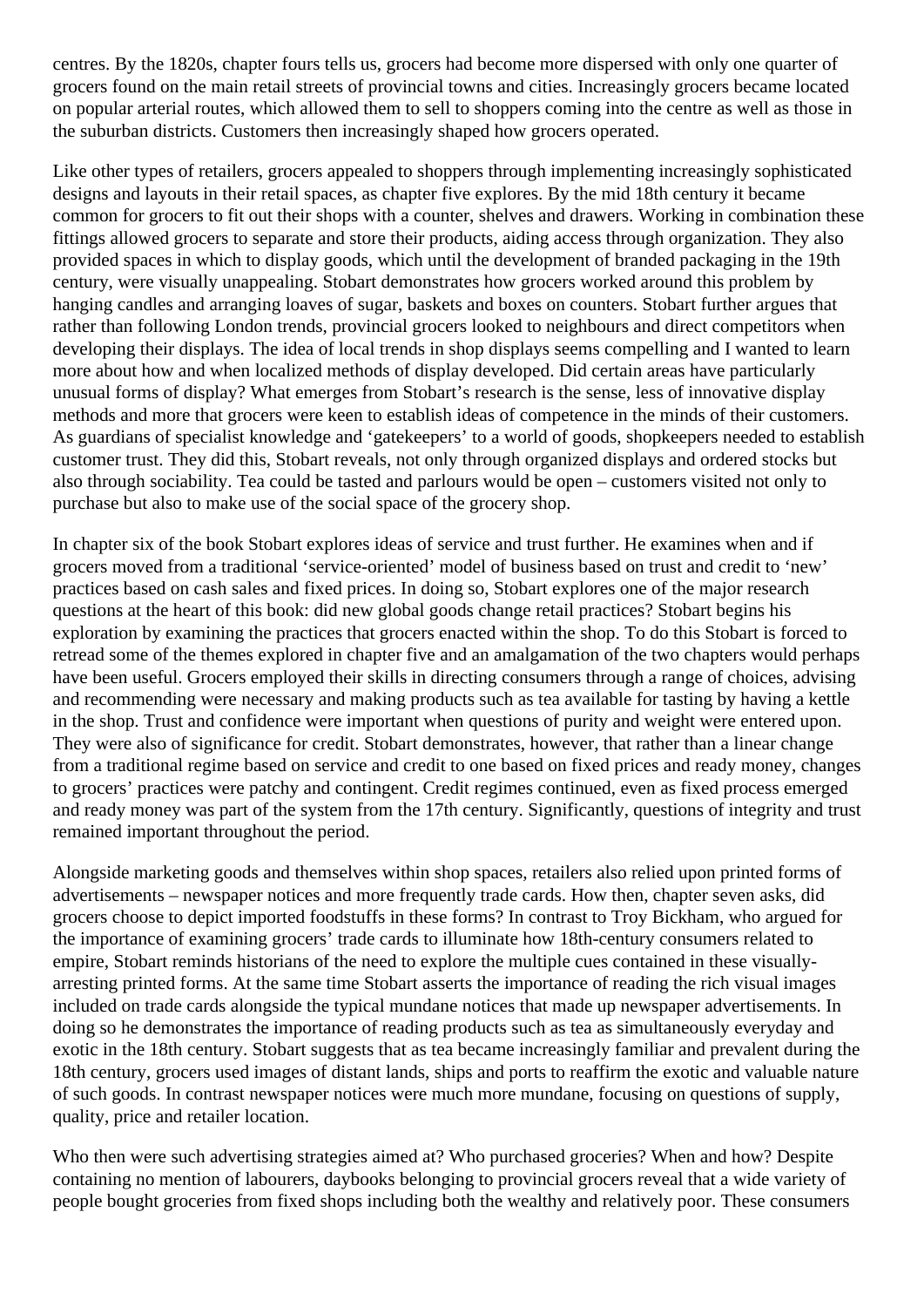centres. By the 1820s, chapter fours tells us, grocers had become more dispersed with only one quarter of grocers found on the main retail streets of provincial towns and cities. Increasingly grocers became located on popular arterial routes, which allowed them to sell to shoppers coming into the centre as well as those in the suburban districts. Customers then increasingly shaped how grocers operated.

Like other types of retailers, grocers appealed to shoppers through implementing increasingly sophisticated designs and layouts in their retail spaces, as chapter five explores. By the mid 18th century it became common for grocers to fit out their shops with a counter, shelves and drawers. Working in combination these fittings allowed grocers to separate and store their products, aiding access through organization. They also provided spaces in which to display goods, which until the development of branded packaging in the 19th century, were visually unappealing. Stobart demonstrates how grocers worked around this problem by hanging candles and arranging loaves of sugar, baskets and boxes on counters. Stobart further argues that rather than following London trends, provincial grocers looked to neighbours and direct competitors when developing their displays. The idea of local trends in shop displays seems compelling and I wanted to learn more about how and when localized methods of display developed. Did certain areas have particularly unusual forms of display? What emerges from Stobart's research is the sense, less of innovative display methods and more that grocers were keen to establish ideas of competence in the minds of their customers. As guardians of specialist knowledge and 'gatekeepers' to a world of goods, shopkeepers needed to establish customer trust. They did this, Stobart reveals, not only through organized displays and ordered stocks but also through sociability. Tea could be tasted and parlours would be open – customers visited not only to purchase but also to make use of the social space of the grocery shop.

In chapter six of the book Stobart explores ideas of service and trust further. He examines when and if grocers moved from a traditional 'service-oriented' model of business based on trust and credit to 'new' practices based on cash sales and fixed prices. In doing so, Stobart explores one of the major research questions at the heart of this book: did new global goods change retail practices? Stobart begins his exploration by examining the practices that grocers enacted within the shop. To do this Stobart is forced to retread some of the themes explored in chapter five and an amalgamation of the two chapters would perhaps have been useful. Grocers employed their skills in directing consumers through a range of choices, advising and recommending were necessary and making products such as tea available for tasting by having a kettle in the shop. Trust and confidence were important when questions of purity and weight were entered upon. They were also of significance for credit. Stobart demonstrates, however, that rather than a linear change from a traditional regime based on service and credit to one based on fixed prices and ready money, changes to grocers' practices were patchy and contingent. Credit regimes continued, even as fixed process emerged and ready money was part of the system from the 17th century. Significantly, questions of integrity and trust remained important throughout the period.

Alongside marketing goods and themselves within shop spaces, retailers also relied upon printed forms of advertisements – newspaper notices and more frequently trade cards. How then, chapter seven asks, did grocers choose to depict imported foodstuffs in these forms? In contrast to Troy Bickham, who argued for the importance of examining grocers' trade cards to illuminate how 18th-century consumers related to empire, Stobart reminds historians of the need to explore the multiple cues contained in these visuallyarresting printed forms. At the same time Stobart asserts the importance of reading the rich visual images included on trade cards alongside the typical mundane notices that made up newspaper advertisements. In doing so he demonstrates the importance of reading products such as tea as simultaneously everyday and exotic in the 18th century. Stobart suggests that as tea became increasingly familiar and prevalent during the 18th century, grocers used images of distant lands, ships and ports to reaffirm the exotic and valuable nature of such goods. In contrast newspaper notices were much more mundane, focusing on questions of supply, quality, price and retailer location.

Who then were such advertising strategies aimed at? Who purchased groceries? When and how? Despite containing no mention of labourers, daybooks belonging to provincial grocers reveal that a wide variety of people bought groceries from fixed shops including both the wealthy and relatively poor. These consumers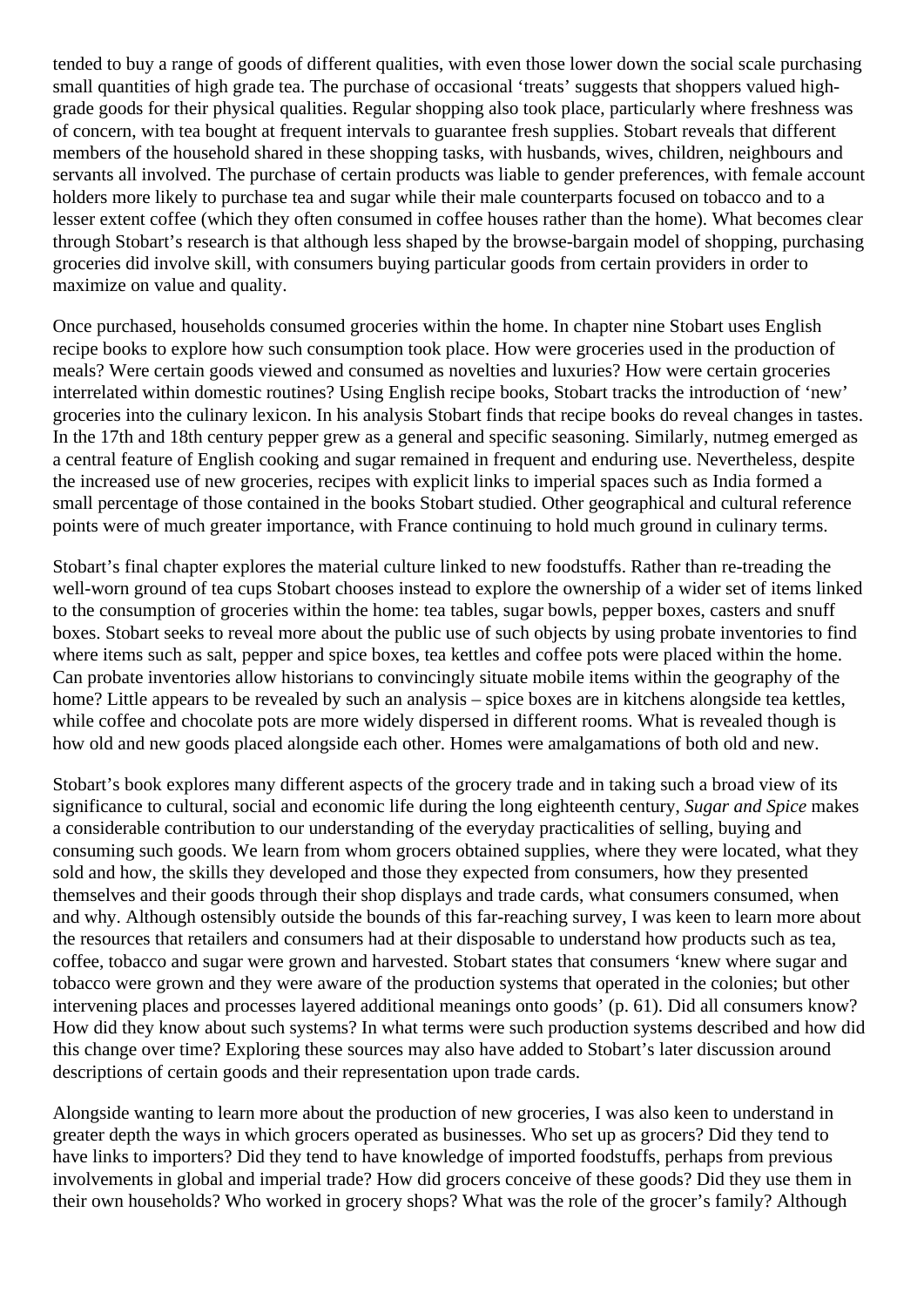tended to buy a range of goods of different qualities, with even those lower down the social scale purchasing small quantities of high grade tea. The purchase of occasional 'treats' suggests that shoppers valued highgrade goods for their physical qualities. Regular shopping also took place, particularly where freshness was of concern, with tea bought at frequent intervals to guarantee fresh supplies. Stobart reveals that different members of the household shared in these shopping tasks, with husbands, wives, children, neighbours and servants all involved. The purchase of certain products was liable to gender preferences, with female account holders more likely to purchase tea and sugar while their male counterparts focused on tobacco and to a lesser extent coffee (which they often consumed in coffee houses rather than the home). What becomes clear through Stobart's research is that although less shaped by the browse-bargain model of shopping, purchasing groceries did involve skill, with consumers buying particular goods from certain providers in order to maximize on value and quality.

Once purchased, households consumed groceries within the home. In chapter nine Stobart uses English recipe books to explore how such consumption took place. How were groceries used in the production of meals? Were certain goods viewed and consumed as novelties and luxuries? How were certain groceries interrelated within domestic routines? Using English recipe books, Stobart tracks the introduction of 'new' groceries into the culinary lexicon. In his analysis Stobart finds that recipe books do reveal changes in tastes. In the 17th and 18th century pepper grew as a general and specific seasoning. Similarly, nutmeg emerged as a central feature of English cooking and sugar remained in frequent and enduring use. Nevertheless, despite the increased use of new groceries, recipes with explicit links to imperial spaces such as India formed a small percentage of those contained in the books Stobart studied. Other geographical and cultural reference points were of much greater importance, with France continuing to hold much ground in culinary terms.

Stobart's final chapter explores the material culture linked to new foodstuffs. Rather than re-treading the well-worn ground of tea cups Stobart chooses instead to explore the ownership of a wider set of items linked to the consumption of groceries within the home: tea tables, sugar bowls, pepper boxes, casters and snuff boxes. Stobart seeks to reveal more about the public use of such objects by using probate inventories to find where items such as salt, pepper and spice boxes, tea kettles and coffee pots were placed within the home. Can probate inventories allow historians to convincingly situate mobile items within the geography of the home? Little appears to be revealed by such an analysis – spice boxes are in kitchens alongside tea kettles, while coffee and chocolate pots are more widely dispersed in different rooms. What is revealed though is how old and new goods placed alongside each other. Homes were amalgamations of both old and new.

Stobart's book explores many different aspects of the grocery trade and in taking such a broad view of its significance to cultural, social and economic life during the long eighteenth century, *Sugar and Spice* makes a considerable contribution to our understanding of the everyday practicalities of selling, buying and consuming such goods. We learn from whom grocers obtained supplies, where they were located, what they sold and how, the skills they developed and those they expected from consumers, how they presented themselves and their goods through their shop displays and trade cards, what consumers consumed, when and why. Although ostensibly outside the bounds of this far-reaching survey, I was keen to learn more about the resources that retailers and consumers had at their disposable to understand how products such as tea, coffee, tobacco and sugar were grown and harvested. Stobart states that consumers 'knew where sugar and tobacco were grown and they were aware of the production systems that operated in the colonies; but other intervening places and processes layered additional meanings onto goods' (p. 61). Did all consumers know? How did they know about such systems? In what terms were such production systems described and how did this change over time? Exploring these sources may also have added to Stobart's later discussion around descriptions of certain goods and their representation upon trade cards.

Alongside wanting to learn more about the production of new groceries, I was also keen to understand in greater depth the ways in which grocers operated as businesses. Who set up as grocers? Did they tend to have links to importers? Did they tend to have knowledge of imported foodstuffs, perhaps from previous involvements in global and imperial trade? How did grocers conceive of these goods? Did they use them in their own households? Who worked in grocery shops? What was the role of the grocer's family? Although